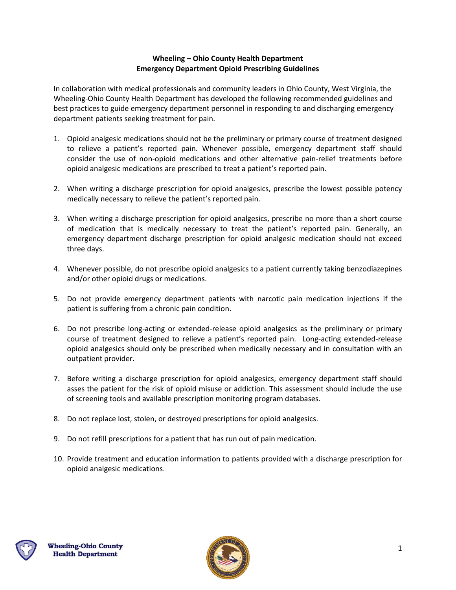# **Wheeling – Ohio County Health Department Emergency Department Opioid Prescribing Guidelines**

In collaboration with medical professionals and community leaders in Ohio County, West Virginia, the Wheeling-Ohio County Health Department has developed the following recommended guidelines and best practices to guide emergency department personnel in responding to and discharging emergency department patients seeking treatment for pain.

- 1. Opioid analgesic medications should not be the preliminary or primary course of treatment designed to relieve a patient's reported pain. Whenever possible, emergency department staff should consider the use of non-opioid medications and other alternative pain-relief treatments before opioid analgesic medications are prescribed to treat a patient's reported pain.
- 2. When writing a discharge prescription for opioid analgesics, prescribe the lowest possible potency medically necessary to relieve the patient's reported pain.
- 3. When writing a discharge prescription for opioid analgesics, prescribe no more than a short course of medication that is medically necessary to treat the patient's reported pain. Generally, an emergency department discharge prescription for opioid analgesic medication should not exceed three days.
- 4. Whenever possible, do not prescribe opioid analgesics to a patient currently taking benzodiazepines and/or other opioid drugs or medications.
- 5. Do not provide emergency department patients with narcotic pain medication injections if the patient is suffering from a chronic pain condition.
- 6. Do not prescribe long-acting or extended-release opioid analgesics as the preliminary or primary course of treatment designed to relieve a patient's reported pain. Long-acting extended-release opioid analgesics should only be prescribed when medically necessary and in consultation with an outpatient provider.
- 7. Before writing a discharge prescription for opioid analgesics, emergency department staff should asses the patient for the risk of opioid misuse or addiction. This assessment should include the use of screening tools and available prescription monitoring program databases.
- 8. Do not replace lost, stolen, or destroyed prescriptions for opioid analgesics.
- 9. Do not refill prescriptions for a patient that has run out of pain medication.
- 10. Provide treatment and education information to patients provided with a discharge prescription for opioid analgesic medications.



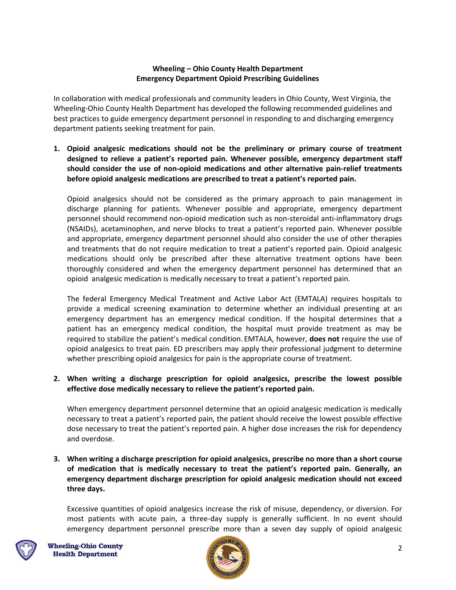#### **Wheeling – Ohio County Health Department Emergency Department Opioid Prescribing Guidelines**

In collaboration with medical professionals and community leaders in Ohio County, West Virginia, the Wheeling-Ohio County Health Department has developed the following recommended guidelines and best practices to guide emergency department personnel in responding to and discharging emergency department patients seeking treatment for pain.

**1. Opioid analgesic medications should not be the preliminary or primary course of treatment designed to relieve a patient's reported pain. Whenever possible, emergency department staff should consider the use of non-opioid medications and other alternative pain-relief treatments before opioid analgesic medications are prescribed to treat a patient's reported pain.**

Opioid analgesics should not be considered as the primary approach to pain management in discharge planning for patients. Whenever possible and appropriate, emergency department personnel should recommend non-opioid medication such as non-steroidal anti-inflammatory drugs (NSAIDs), acetaminophen, and nerve blocks to treat a patient's reported pain. Whenever possible and appropriate, emergency department personnel should also consider the use of other therapies and treatments that do not require medication to treat a patient's reported pain. Opioid analgesic medications should only be prescribed after these alternative treatment options have been thoroughly considered and when the emergency department personnel has determined that an opioid analgesic medication is medically necessary to treat a patient's reported pain.

The federal Emergency Medical Treatment and Active Labor Act (EMTALA) requires hospitals to provide a medical screening examination to determine whether an individual presenting at an emergency department has an emergency medical condition. If the hospital determines that a patient has an emergency medical condition, the hospital must provide treatment as may be required to stabilize the patient's medical condition. EMTALA, however, **does not** require the use of opioid analgesics to treat pain. ED prescribers may apply their professional judgment to determine whether prescribing opioid analgesics for pain is the appropriate course of treatment.

#### **2. When writing a discharge prescription for opioid analgesics, prescribe the lowest possible effective dose medically necessary to relieve the patient's reported pain.**

When emergency department personnel determine that an opioid analgesic medication is medically necessary to treat a patient's reported pain, the patient should receive the lowest possible effective dose necessary to treat the patient's reported pain. A higher dose increases the risk for dependency and overdose.

# **3. When writing a discharge prescription for opioid analgesics, prescribe no more than a short course of medication that is medically necessary to treat the patient's reported pain. Generally, an emergency department discharge prescription for opioid analgesic medication should not exceed three days.**

Excessive quantities of opioid analgesics increase the risk of misuse, dependency, or diversion. For most patients with acute pain, a three-day supply is generally sufficient. In no event should emergency department personnel prescribe more than a seven day supply of opioid analgesic



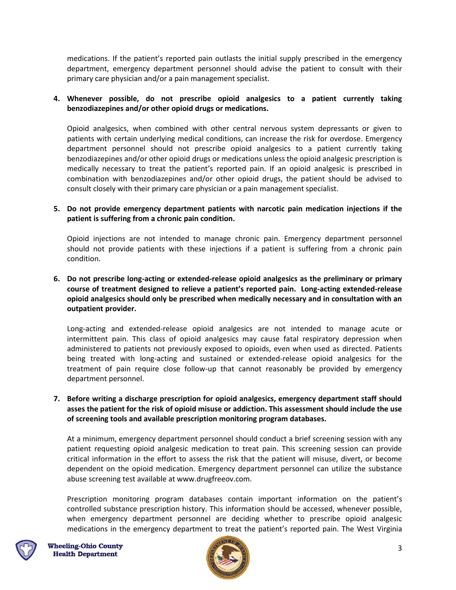medications. If the patient's reported pain outlasts the initial supply prescribed in the emergency department, emergency department personnel should advise the patient to consult with their primary care physician and/or a pain management specialist.

# **4. Whenever possible, do not prescribe opioid analgesics to a patient currently taking benzodiazepines and/or other opioid drugs or medications.**

Opioid analgesics, when combined with other central nervous system depressants or given to patients with certain underlying medical conditions, can increase the risk for overdose. Emergency department personnel should not prescribe opioid analgesics to a patient currently taking benzodiazepines and/or other opioid drugs or medications unless the opioid analgesic prescription is medically necessary to treat the patient's reported pain. If an opioid analgesic is prescribed in combination with benzodiazepines and/or other opioid drugs, the patient should be advised to consult closely with their primary care physician or a pain management specialist.

#### **5. Do not provide emergency department patients with narcotic pain medication injections if the patient is suffering from a chronic pain condition.**

Opioid injections are not intended to manage chronic pain. Emergency department personnel should not provide patients with these injections if a patient is suffering from a chronic pain condition.

# **6. Do not prescribe long-acting or extended-release opioid analgesics as the preliminary or primary course of treatment designed to relieve a patient's reported pain. Long-acting extended-release opioid analgesics should only be prescribed when medically necessary and in consultation with an outpatient provider.**

Long-acting and extended-release opioid analgesics are not intended to manage acute or intermittent pain. This class of opioid analgesics may cause fatal respiratory depression when administered to patients not previously exposed to opioids, even when used as directed. Patients being treated with long-acting and sustained or extended-release opioid analgesics for the treatment of pain require close follow-up that cannot reasonably be provided by emergency department personnel.

**7. Before writing a discharge prescription for opioid analgesics, emergency department staff should asses the patient for the risk of opioid misuse or addiction. This assessment should include the use of screening tools and available prescription monitoring program databases.** 

At a minimum, emergency department personnel should conduct a brief screening session with any patient requesting opioid analgesic medication to treat pain. This screening session can provide critical information in the effort to assess the risk that the patient will misuse, divert, or become dependent on the opioid medication. Emergency department personnel can utilize the substance abuse screening test available at www.drugfreeov.com.

Prescription monitoring program databases contain important information on the patient's controlled substance prescription history. This information should be accessed, whenever possible, when emergency department personnel are deciding whether to prescribe opioid analgesic medications in the emergency department to treat the patient's reported pain. The West Virginia



**Wheeling-Ohio County Health Department** 

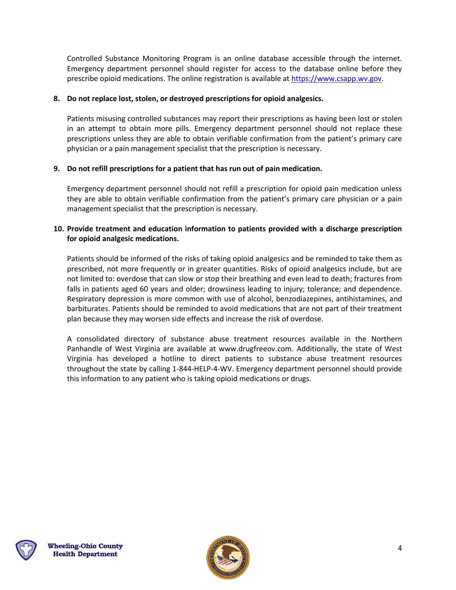Controlled Substance Monitoring Program is an online database accessible through the internet. Emergency department personnel should register for access to the database online before they prescribe opioid medications. The online registration is available at [https://www.csapp.wv.gov.](https://www.csapp.wv.gov/)

# **8. Do not replace lost, stolen, or destroyed prescriptions for opioid analgesics.**

Patients misusing controlled substances may report their prescriptions as having been lost or stolen in an attempt to obtain more pills. Emergency department personnel should not replace these prescriptions unless they are able to obtain verifiable confirmation from the patient's primary care physician or a pain management specialist that the prescription is necessary.

#### **9. Do not refill prescriptions for a patient that has run out of pain medication.**

Emergency department personnel should not refill a prescription for opioid pain medication unless they are able to obtain verifiable confirmation from the patient's primary care physician or a pain management specialist that the prescription is necessary.

#### **10. Provide treatment and education information to patients provided with a discharge prescription for opioid analgesic medications.**

Patients should be informed of the risks of taking opioid analgesics and be reminded to take them as prescribed, not more frequently or in greater quantities. Risks of opioid analgesics include, but are not limited to: overdose that can slow or stop their breathing and even lead to death; fractures from falls in patients aged 60 years and older; drowsiness leading to injury; tolerance; and dependence. Respiratory depression is more common with use of alcohol, benzodiazepines, antihistamines, and barbiturates. Patients should be reminded to avoid medications that are not part of their treatment plan because they may worsen side effects and increase the risk of overdose.

A consolidated directory of substance abuse treatment resources available in the Northern Panhandle of West Virginia are available at www.drugfreeov.com. Additionally, the state of West Virginia has developed a hotline to direct patients to substance abuse treatment resources throughout the state by calling 1-844-HELP-4-WV. Emergency department personnel should provide this information to any patient who is taking opioid medications or drugs.